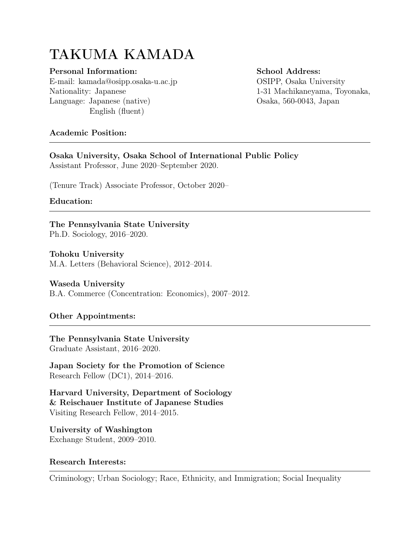# TAKUMA KAMADA

### Personal Information:

E-mail: [kamada@osipp.osaka-u.ac.jp](mailto: kamada@osipp.osaka-u.ac.jp ) Nationality: Japanese Language: Japanese (native) English (fluent)

School Address: OSIPP, Osaka University 1-31 Machikaneyama, Toyonaka, Osaka, 560-0043, Japan

## Academic Position:

Osaka University, Osaka School of International Public Policy Assistant Professor, June 2020–September 2020.

(Tenure Track) Associate Professor, October 2020–

## Education:

The Pennsylvania State University Ph.D. Sociology, 2016–2020.

## Tohoku University

M.A. Letters (Behavioral Science), 2012–2014.

## Waseda University

B.A. Commerce (Concentration: Economics), 2007–2012.

## Other Appointments:

The Pennsylvania State University Graduate Assistant, 2016–2020.

Japan Society for the Promotion of Science Research Fellow (DC1), 2014–2016.

Harvard University, Department of Sociology & Reischauer Institute of Japanese Studies Visiting Research Fellow, 2014–2015.

University of Washington Exchange Student, 2009–2010.

## Research Interests:

Criminology; Urban Sociology; Race, Ethnicity, and Immigration; Social Inequality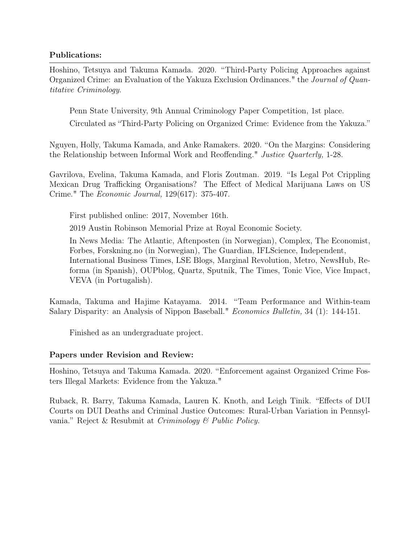### Publications:

Hoshino, Tetsuya and Takuma Kamada. 2020. "[Third-Party Policing Approaches against](https://doi.org/10.1007/s10940-020-09466-6) [Organized Crime: an Evaluation of the Yakuza Exclusion Ordinances."](https://doi.org/10.1007/s10940-020-09466-6) the Journal of Quantitative Criminology.

Penn State University, 9th Annual Criminology Paper Competition, 1st place.

Circulated as "Third-Party Policing on Organized Crime: Evidence from the Yakuza."

Nguyen, Holly, Takuma Kamada, and Anke Ramakers. 2020. "[On the Margins: Considering](https://doi.org/10.1080/07418825.2020.1778059) [the Relationship between Informal Work and Reoffending."](https://doi.org/10.1080/07418825.2020.1778059) Justice Quarterly, 1-28.

Gavrilova, Evelina, Takuma Kamada, and Floris Zoutman. 2019. "[Is Legal Pot Crippling](https://academic.oup.com/ej/article-abstract/129/617/375/5237193) [Mexican Drug Trafficking Organisations? The Effect of Medical Marijuana Laws on US](https://academic.oup.com/ej/article-abstract/129/617/375/5237193) [Crime.](https://academic.oup.com/ej/article-abstract/129/617/375/5237193)" The Economic Journal, 129(617): 375-407.

First published online: 2017, November 16th.

2019 Austin Robinson Memorial Prize at Royal Economic Society.

In News Media: [The Atlantic,](https://www.theatlantic.com/magazine/archive/2019/01/california-marijuana-crime/576391/) [Aftenposten \(in Norwegian\),](https://www.aftenposten.no/norge/i/8RyE/Norske-forskere-Legalisering-av-cannabis-ga-lavere-kriminalitet) [Complex,](https://www.complex.com/life/2018/01/medical-marijuana-legalization-states-decrease-crime) [The Economist,](https://www.economist.com/blogs/democracyinamerica/2017/05/drug-war-policies) [Forbes,](https://www.forbes.com/sites/janetwburns/2018/01/16/violent-crime-has-fallen-in-border-states-with-legal-cannabis-study/#1bde61dc59eb) [Forskning.no \(in Norwegian\),](https://forskning.no/alkohol-og-narkotika-samfunn-okonomi-samfunnsokonomi/2015/02/legalisering-av-marihuana-gir-mindre) [The Guardian,](https://www.theguardian.com/world/2018/jan/14/legal-marijuana-medical-use-crime-rate-plummets-us-study) [IFLScience,](http://www.iflscience.com/health-and-medicine/legalizing-marijuana-cuts-violent-crimes-suggests-study/) [Independent,](https://www.independent.co.uk/news/world/americas/medical-marijuana-legalisation-cannabis-us-states-violent-crime-drop-numbers-study-california-new-a8160311.html) [International Business Times,](https://www.ibtimes.com/medical-marijuana-laws-have-lowered-crime-rate-many-states-study-finds-2641633) [LSE Blogs,](https://blogs.lse.ac.uk/usappblog/2019/07/20/medical-marijuana-laws-economic-impact-on-organised-crime/) [Marginal Revolution,](https://marginalrevolution.com/marginalrevolution/2018/01/legal-pot-crippling-mexican-drug-trafficking-organisations.html) [Metro,](http://metro.co.uk/2018/01/15/violent-crime-murder-drop-massively-american-states-legalised-weed-7229345/) [NewsHub,](https://www.newshub.co.nz/home/world/2018/01/legalising-marijuana-leads-to-significant-drop-in-violent-crime-study.html) [Re](https://www.reforma.com/aplicacioneslibre/preacceso/articulo/default.aspx?id=1152076&v=7&impresion=1&urlredirect=http://www.reforma.com/aplicaciones/articulo/default.aspx?id=1152076&v=7&impresion=1)[forma \(in Spanish\),](https://www.reforma.com/aplicacioneslibre/preacceso/articulo/default.aspx?id=1152076&v=7&impresion=1&urlredirect=http://www.reforma.com/aplicaciones/articulo/default.aspx?id=1152076&v=7&impresion=1) [OUPblog,](https://blog.oup.com/2019/07/how-medical-marijuana-hurts-mexican-drug-cartels/) [Quartz,](https://qz.com/1180763/mexico-border-wall-dont-tell-jeff-sessions-but-legal-medical-marijuana-decreased-drug-crime-in-us-states/) [Sputnik,](https://sputniknews.com/art_living/201801141060751162-violence-drops-when-pot-legalized/) [The Times,](https://www.thetimes.co.uk/article/legalising-cannabis-weeds-out-violence-in-us-border-states-7cvq9rvf3) [Tonic Vice,](https://tonic.vice.com/en_us/article/8x9vgz/medical-marijuana-laws-less-crime-in-states-bordering-mexico) [Vice Impact,](https://impact.vice.com/en_us/article/wj7y7y/harsher-weed-policies-make-us-less-safe) [VEVA \(in Portugalish\).](https://veja.abril.com.br/mundo/legalizacao-em-grande-escala/)

Kamada, Takuma and Hajime Katayama. 2014. "[Team Performance and Within-team](http://www.accessecon.com/Pubs/EB/2014/Volume34/EB-14-V34-I1-P16.pdf) [Salary Disparity: an Analysis of Nippon Baseball.](http://www.accessecon.com/Pubs/EB/2014/Volume34/EB-14-V34-I1-P16.pdf)" *Economics Bulletin*, 34 (1): 144-151.

Finished as an undergraduate project.

## Papers under Revision and Review:

Hoshino, Tetsuya and Takuma Kamada. 2020. "[Enforcement against Organized Crime Fos](https://drive.google.com/file/d/1b4gZ3h02J36KiaLLu8MgEQYT0-LcYnIH/view?usp=sharing)[ters Illegal Markets: Evidence from the Yakuza."](https://drive.google.com/file/d/1b4gZ3h02J36KiaLLu8MgEQYT0-LcYnIH/view?usp=sharing)

Ruback, R. Barry, Takuma Kamada, Lauren K. Knoth, and Leigh Tinik. "Effects of DUI Courts on DUI Deaths and Criminal Justice Outcomes: Rural-Urban Variation in Pennsylvania." Reject & Resubmit at Criminology & Public Policy.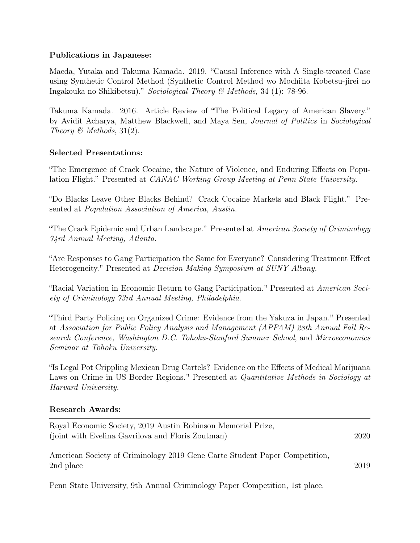## Publications in Japanese:

Maeda, Yutaka and Takuma Kamada. 2019. "Causal Inference with A Single-treated Case using Synthetic Control Method (Synthetic Control Method wo Mochiita Kobetsu-jirei no Ingakouka no Shikibetsu)." Sociological Theory & Methods, 34 (1): 78-96.

Takuma Kamada. 2016. Article Review of "The Political Legacy of American Slavery." by Avidit Acharya, Matthew Blackwell, and Maya Sen, Journal of Politics in Sociological Theory  $\mathcal{B}$  Methods, 31(2).

## Selected Presentations:

"The Emergence of Crack Cocaine, the Nature of Violence, and Enduring Effects on Population Flight." Presented at CANAC Working Group Meeting at Penn State University.

"Do Blacks Leave Other Blacks Behind? Crack Cocaine Markets and Black Flight." Presented at Population Association of America, Austin.

"The Crack Epidemic and Urban Landscape." Presented at American Society of Criminology 74rd Annual Meeting, Atlanta.

"Are Responses to Gang Participation the Same for Everyone? Considering Treatment Effect Heterogeneity." Presented at Decision Making Symposium at SUNY Albany.

"Racial Variation in Economic Return to Gang Participation." Presented at *American Soci*ety of Criminology 73rd Annual Meeting, Philadelphia.

"Third Party Policing on Organized Crime: Evidence from the Yakuza in Japan." Presented at Association for Public Policy Analysis and Management (APPAM) 28th Annual Fall Research Conference, Washington D.C. Tohoku-Stanford Summer School, and Microeconomics Seminar at Tohoku University.

"Is Legal Pot Crippling Mexican Drug Cartels? Evidence on the Effects of Medical Marijuana Laws on Crime in US Border Regions." Presented at *Quantitative Methods in Sociology at* Harvard University.

#### Research Awards:

| Royal Economic Society, 2019 Austin Robinson Memorial Prize,<br>(joint with Evelina Gavrilova and Floris Zoutman) | 2020 |
|-------------------------------------------------------------------------------------------------------------------|------|
| American Society of Criminology 2019 Gene Carte Student Paper Competition,<br>2nd place                           | 2019 |

Penn State University, 9th Annual Criminology Paper Competition, 1st place.